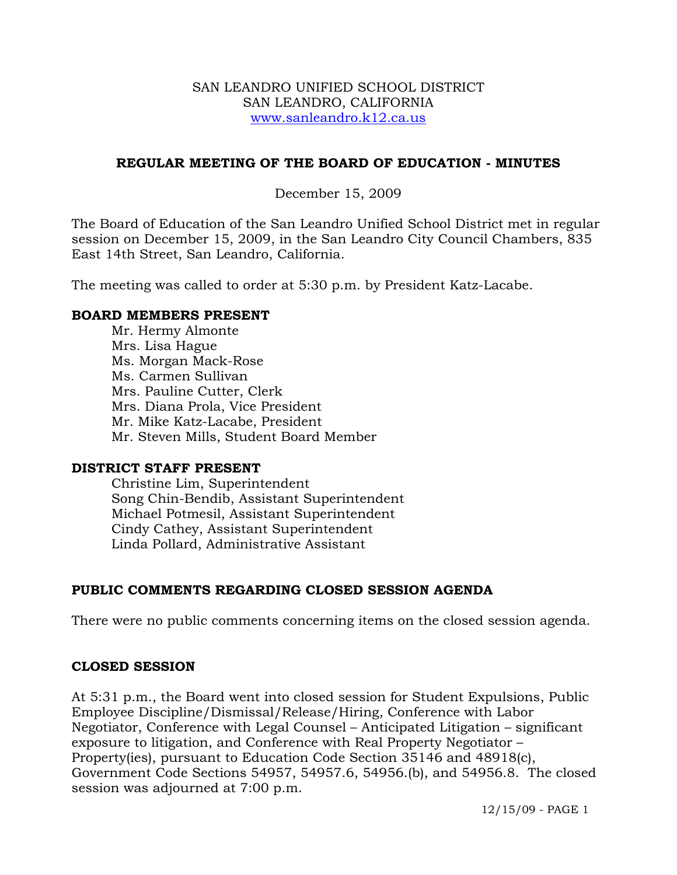#### SAN LEANDRO UNIFIED SCHOOL DISTRICT SAN LEANDRO, CALIFORNIA www.sanleandro.k12.ca.us

## **REGULAR MEETING OF THE BOARD OF EDUCATION - MINUTES**

## December 15, 2009

The Board of Education of the San Leandro Unified School District met in regular session on December 15, 2009, in the San Leandro City Council Chambers, 835 East 14th Street, San Leandro, California.

The meeting was called to order at 5:30 p.m. by President Katz-Lacabe.

#### **BOARD MEMBERS PRESENT**

Mr. Hermy Almonte Mrs. Lisa Hague Ms. Morgan Mack-Rose Ms. Carmen Sullivan Mrs. Pauline Cutter, Clerk Mrs. Diana Prola, Vice President Mr. Mike Katz-Lacabe, President Mr. Steven Mills, Student Board Member

#### **DISTRICT STAFF PRESENT**

Christine Lim, Superintendent Song Chin-Bendib, Assistant Superintendent Michael Potmesil, Assistant Superintendent Cindy Cathey, Assistant Superintendent Linda Pollard, Administrative Assistant

## **PUBLIC COMMENTS REGARDING CLOSED SESSION AGENDA**

There were no public comments concerning items on the closed session agenda.

#### **CLOSED SESSION**

At 5:31 p.m., the Board went into closed session for Student Expulsions, Public Employee Discipline/Dismissal/Release/Hiring, Conference with Labor Negotiator, Conference with Legal Counsel – Anticipated Litigation – significant exposure to litigation, and Conference with Real Property Negotiator – Property(ies), pursuant to Education Code Section 35146 and 48918(c), Government Code Sections 54957, 54957.6, 54956.(b), and 54956.8. The closed session was adjourned at 7:00 p.m.

12/15/09 - PAGE 1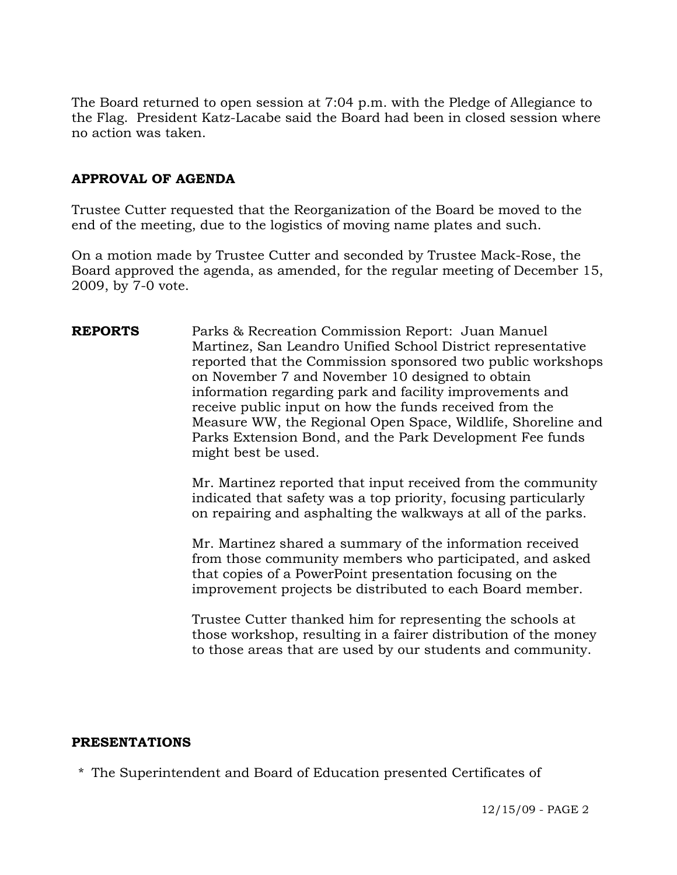The Board returned to open session at 7:04 p.m. with the Pledge of Allegiance to the Flag. President Katz-Lacabe said the Board had been in closed session where no action was taken.

## **APPROVAL OF AGENDA**

Trustee Cutter requested that the Reorganization of the Board be moved to the end of the meeting, due to the logistics of moving name plates and such.

On a motion made by Trustee Cutter and seconded by Trustee Mack-Rose, the Board approved the agenda, as amended, for the regular meeting of December 15, 2009, by 7-0 vote.

**REPORTS** Parks & Recreation Commission Report: Juan Manuel Martinez, San Leandro Unified School District representative reported that the Commission sponsored two public workshops on November 7 and November 10 designed to obtain information regarding park and facility improvements and receive public input on how the funds received from the Measure WW, the Regional Open Space, Wildlife, Shoreline and Parks Extension Bond, and the Park Development Fee funds might best be used.

> Mr. Martinez reported that input received from the community indicated that safety was a top priority, focusing particularly on repairing and asphalting the walkways at all of the parks.

Mr. Martinez shared a summary of the information received from those community members who participated, and asked that copies of a PowerPoint presentation focusing on the improvement projects be distributed to each Board member.

Trustee Cutter thanked him for representing the schools at those workshop, resulting in a fairer distribution of the money to those areas that are used by our students and community.

#### **PRESENTATIONS**

\* The Superintendent and Board of Education presented Certificates of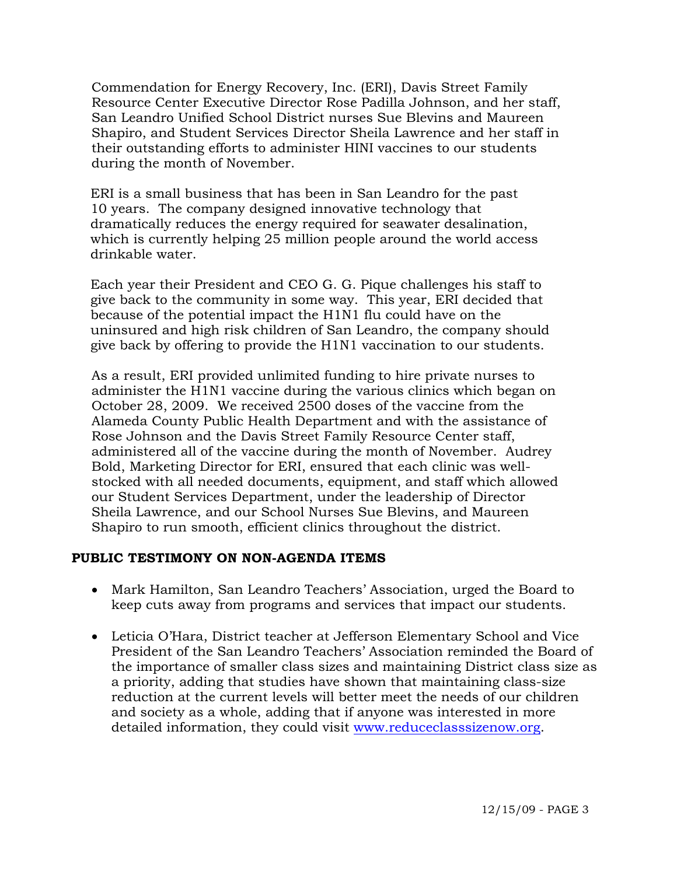Commendation for Energy Recovery, Inc. (ERI), Davis Street Family Resource Center Executive Director Rose Padilla Johnson, and her staff, San Leandro Unified School District nurses Sue Blevins and Maureen Shapiro, and Student Services Director Sheila Lawrence and her staff in their outstanding efforts to administer HINI vaccines to our students during the month of November.

 ERI is a small business that has been in San Leandro for the past 10 years. The company designed innovative technology that dramatically reduces the energy required for seawater desalination, which is currently helping 25 million people around the world access drinkable water.

 Each year their President and CEO G. G. Pique challenges his staff to give back to the community in some way. This year, ERI decided that because of the potential impact the H1N1 flu could have on the uninsured and high risk children of San Leandro, the company should give back by offering to provide the H1N1 vaccination to our students.

 As a result, ERI provided unlimited funding to hire private nurses to administer the H1N1 vaccine during the various clinics which began on October 28, 2009. We received 2500 doses of the vaccine from the Alameda County Public Health Department and with the assistance of Rose Johnson and the Davis Street Family Resource Center staff, administered all of the vaccine during the month of November. Audrey Bold, Marketing Director for ERI, ensured that each clinic was wellstocked with all needed documents, equipment, and staff which allowed our Student Services Department, under the leadership of Director Sheila Lawrence, and our School Nurses Sue Blevins, and Maureen Shapiro to run smooth, efficient clinics throughout the district.

## **PUBLIC TESTIMONY ON NON-AGENDA ITEMS**

- Mark Hamilton, San Leandro Teachers' Association, urged the Board to keep cuts away from programs and services that impact our students.
- Leticia O'Hara, District teacher at Jefferson Elementary School and Vice President of the San Leandro Teachers' Association reminded the Board of the importance of smaller class sizes and maintaining District class size as a priority, adding that studies have shown that maintaining class-size reduction at the current levels will better meet the needs of our children and society as a whole, adding that if anyone was interested in more detailed information, they could visit [www.reduceclasssizenow.org.](http://www.reduceclasssizenow.org/)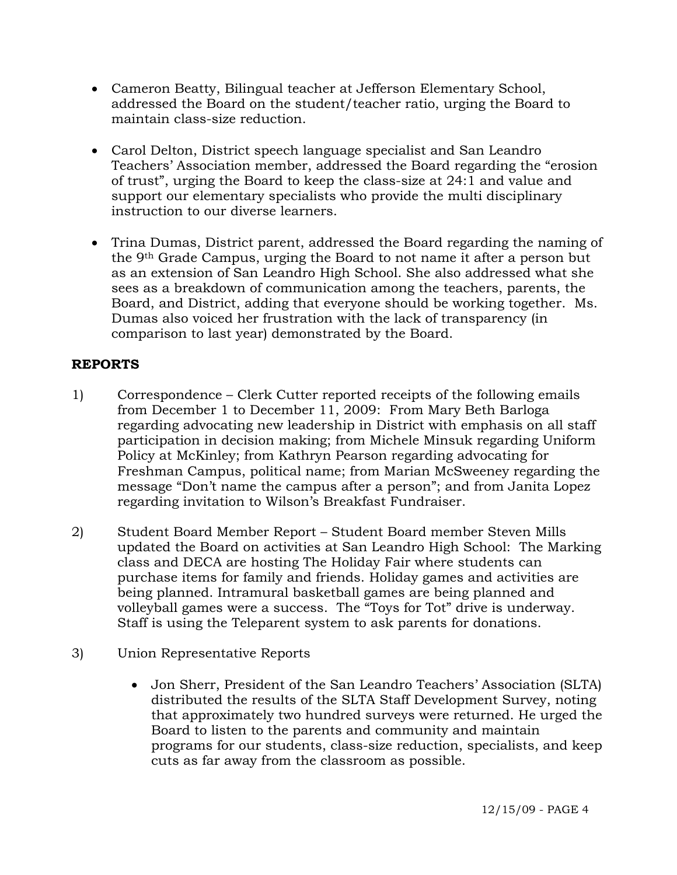- Cameron Beatty, Bilingual teacher at Jefferson Elementary School, addressed the Board on the student/teacher ratio, urging the Board to maintain class-size reduction.
- Carol Delton, District speech language specialist and San Leandro Teachers' Association member, addressed the Board regarding the "erosion of trust", urging the Board to keep the class-size at 24:1 and value and support our elementary specialists who provide the multi disciplinary instruction to our diverse learners.
- Trina Dumas, District parent, addressed the Board regarding the naming of the 9th Grade Campus, urging the Board to not name it after a person but as an extension of San Leandro High School. She also addressed what she sees as a breakdown of communication among the teachers, parents, the Board, and District, adding that everyone should be working together. Ms. Dumas also voiced her frustration with the lack of transparency (in comparison to last year) demonstrated by the Board.

# **REPORTS**

- 1) Correspondence Clerk Cutter reported receipts of the following emails from December 1 to December 11, 2009: From Mary Beth Barloga regarding advocating new leadership in District with emphasis on all staff participation in decision making; from Michele Minsuk regarding Uniform Policy at McKinley; from Kathryn Pearson regarding advocating for Freshman Campus, political name; from Marian McSweeney regarding the message "Don't name the campus after a person"; and from Janita Lopez regarding invitation to Wilson's Breakfast Fundraiser.
- 2) Student Board Member Report Student Board member Steven Mills updated the Board on activities at San Leandro High School: The Marking class and DECA are hosting The Holiday Fair where students can purchase items for family and friends. Holiday games and activities are being planned. Intramural basketball games are being planned and volleyball games were a success. The "Toys for Tot" drive is underway. Staff is using the Teleparent system to ask parents for donations.
- 3) Union Representative Reports
	- Jon Sherr, President of the San Leandro Teachers' Association (SLTA) distributed the results of the SLTA Staff Development Survey, noting that approximately two hundred surveys were returned. He urged the Board to listen to the parents and community and maintain programs for our students, class-size reduction, specialists, and keep cuts as far away from the classroom as possible.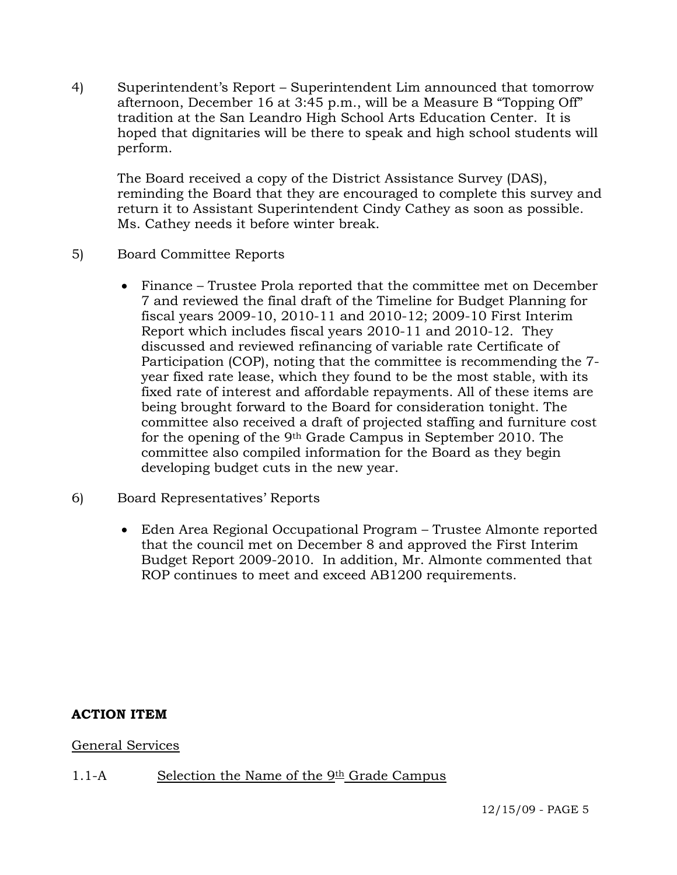4) Superintendent's Report – Superintendent Lim announced that tomorrow afternoon, December 16 at 3:45 p.m., will be a Measure B "Topping Off" tradition at the San Leandro High School Arts Education Center. It is hoped that dignitaries will be there to speak and high school students will perform.

The Board received a copy of the District Assistance Survey (DAS), reminding the Board that they are encouraged to complete this survey and return it to Assistant Superintendent Cindy Cathey as soon as possible. Ms. Cathey needs it before winter break.

# 5) Board Committee Reports

- Finance Trustee Prola reported that the committee met on December 7 and reviewed the final draft of the Timeline for Budget Planning for fiscal years 2009-10, 2010-11 and 2010-12; 2009-10 First Interim Report which includes fiscal years 2010-11 and 2010-12. They discussed and reviewed refinancing of variable rate Certificate of Participation (COP), noting that the committee is recommending the 7 year fixed rate lease, which they found to be the most stable, with its fixed rate of interest and affordable repayments. All of these items are being brought forward to the Board for consideration tonight. The committee also received a draft of projected staffing and furniture cost for the opening of the 9th Grade Campus in September 2010. The committee also compiled information for the Board as they begin developing budget cuts in the new year.
- 6) Board Representatives' Reports
	- Eden Area Regional Occupational Program Trustee Almonte reported that the council met on December 8 and approved the First Interim Budget Report 2009-2010. In addition, Mr. Almonte commented that ROP continues to meet and exceed AB1200 requirements.

## **ACTION ITEM**

General Services

## 1.1-A Selection the Name of the  $9th$  Grade Campus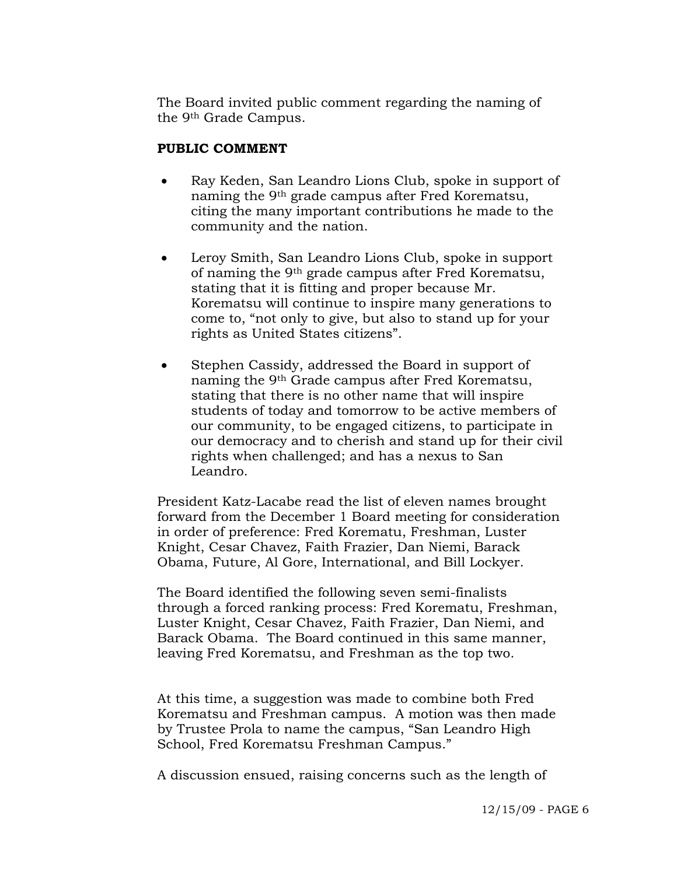The Board invited public comment regarding the naming of the 9th Grade Campus.

## **PUBLIC COMMENT**

- Ray Keden, San Leandro Lions Club, spoke in support of naming the 9th grade campus after Fred Korematsu, citing the many important contributions he made to the community and the nation.
- Leroy Smith, San Leandro Lions Club, spoke in support of naming the 9th grade campus after Fred Korematsu, stating that it is fitting and proper because Mr. Korematsu will continue to inspire many generations to come to, "not only to give, but also to stand up for your rights as United States citizens".
- Stephen Cassidy, addressed the Board in support of naming the 9th Grade campus after Fred Korematsu, stating that there is no other name that will inspire students of today and tomorrow to be active members of our community, to be engaged citizens, to participate in our democracy and to cherish and stand up for their civil rights when challenged; and has a nexus to San Leandro.

President Katz-Lacabe read the list of eleven names brought forward from the December 1 Board meeting for consideration in order of preference: Fred Korematu, Freshman, Luster Knight, Cesar Chavez, Faith Frazier, Dan Niemi, Barack Obama, Future, Al Gore, International, and Bill Lockyer.

The Board identified the following seven semi-finalists through a forced ranking process: Fred Korematu, Freshman, Luster Knight, Cesar Chavez, Faith Frazier, Dan Niemi, and Barack Obama. The Board continued in this same manner, leaving Fred Korematsu, and Freshman as the top two.

At this time, a suggestion was made to combine both Fred Korematsu and Freshman campus. A motion was then made by Trustee Prola to name the campus, "San Leandro High School, Fred Korematsu Freshman Campus."

A discussion ensued, raising concerns such as the length of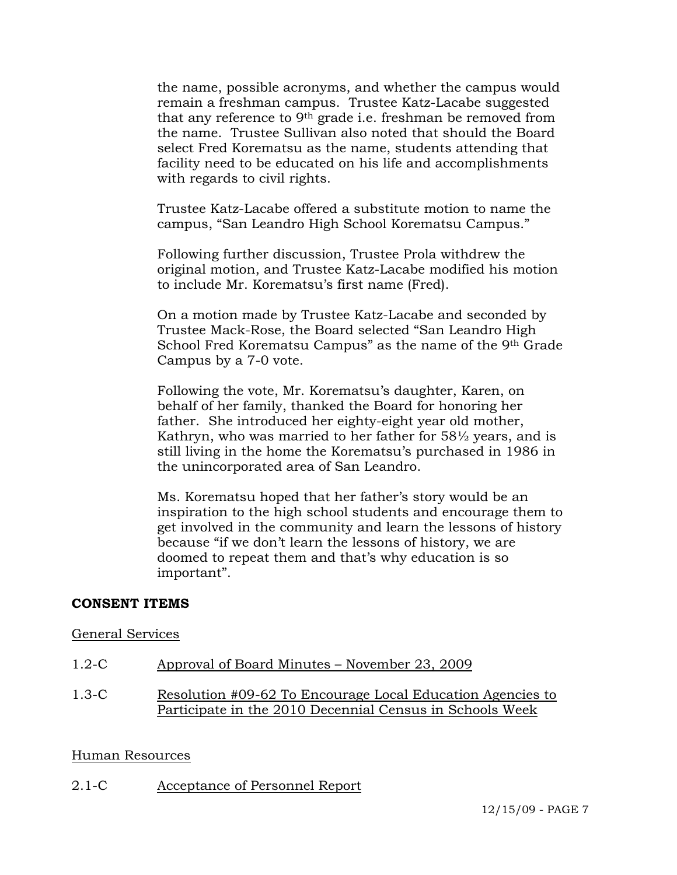the name, possible acronyms, and whether the campus would remain a freshman campus. Trustee Katz-Lacabe suggested that any reference to 9th grade i.e. freshman be removed from the name. Trustee Sullivan also noted that should the Board select Fred Korematsu as the name, students attending that facility need to be educated on his life and accomplishments with regards to civil rights.

Trustee Katz-Lacabe offered a substitute motion to name the campus, "San Leandro High School Korematsu Campus."

Following further discussion, Trustee Prola withdrew the original motion, and Trustee Katz-Lacabe modified his motion to include Mr. Korematsu's first name (Fred).

On a motion made by Trustee Katz-Lacabe and seconded by Trustee Mack-Rose, the Board selected "San Leandro High School Fred Korematsu Campus" as the name of the 9th Grade Campus by a 7-0 vote.

Following the vote, Mr. Korematsu's daughter, Karen, on behalf of her family, thanked the Board for honoring her father. She introduced her eighty-eight year old mother, Kathryn, who was married to her father for 58½ years, and is still living in the home the Korematsu's purchased in 1986 in the unincorporated area of San Leandro.

Ms. Korematsu hoped that her father's story would be an inspiration to the high school students and encourage them to get involved in the community and learn the lessons of history because "if we don't learn the lessons of history, we are doomed to repeat them and that's why education is so important".

## **CONSENT ITEMS**

#### General Services

- 1.2-C Approval of Board Minutes November 23, 2009
- 1.3-C Resolution #09-62 To Encourage Local Education Agencies to Participate in the 2010 Decennial Census in Schools Week

#### Human Resources

2.1-C Acceptance of Personnel Report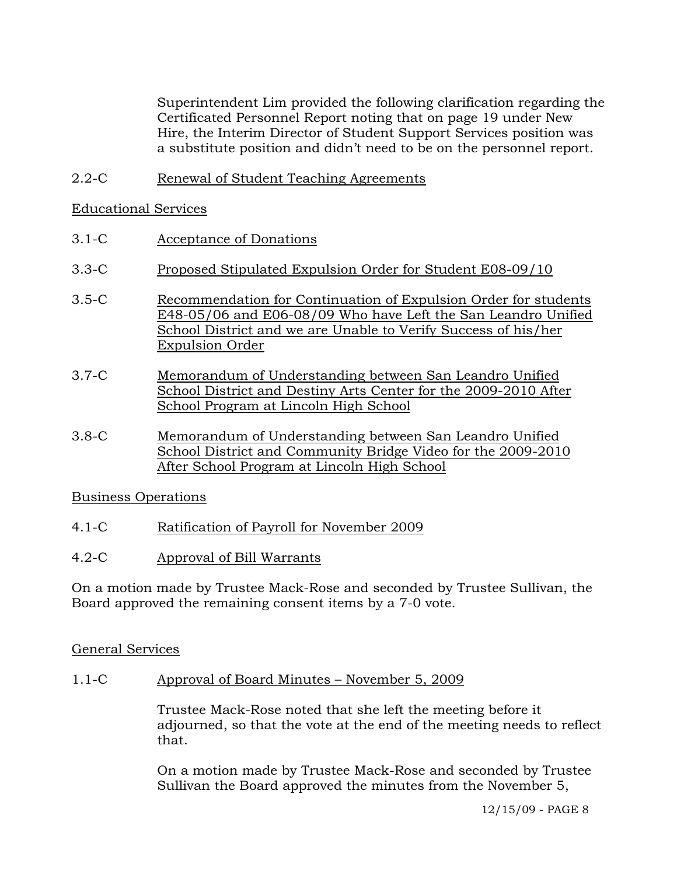Superintendent Lim provided the following clarification regarding the Certificated Personnel Report noting that on page 19 under New Hire, the Interim Director of Student Support Services position was a substitute position and didn't need to be on the personnel report.

2.2-C Renewal of Student Teaching Agreements

## Educational Services

- 3.1-C Acceptance of Donations
- 3.3-C Proposed Stipulated Expulsion Order for Student E08-09/10
- 3.5-C Recommendation for Continuation of Expulsion Order for students E48-05/06 and E06-08/09 Who have Left the San Leandro Unified School District and we are Unable to Verify Success of his/her Expulsion Order
- 3.7-C Memorandum of Understanding between San Leandro Unified School District and Destiny Arts Center for the 2009-2010 After School Program at Lincoln High School
- 3.8-C Memorandum of Understanding between San Leandro Unified School District and Community Bridge Video for the 2009-2010 After School Program at Lincoln High School

## Business Operations

- 4.1-C Ratification of Payroll for November 2009
- 4.2-C Approval of Bill Warrants

On a motion made by Trustee Mack-Rose and seconded by Trustee Sullivan, the Board approved the remaining consent items by a 7-0 vote.

## General Services

1.1-C Approval of Board Minutes – November 5, 2009

Trustee Mack-Rose noted that she left the meeting before it adjourned, so that the vote at the end of the meeting needs to reflect that.

On a motion made by Trustee Mack-Rose and seconded by Trustee Sullivan the Board approved the minutes from the November 5,

12/15/09 - PAGE 8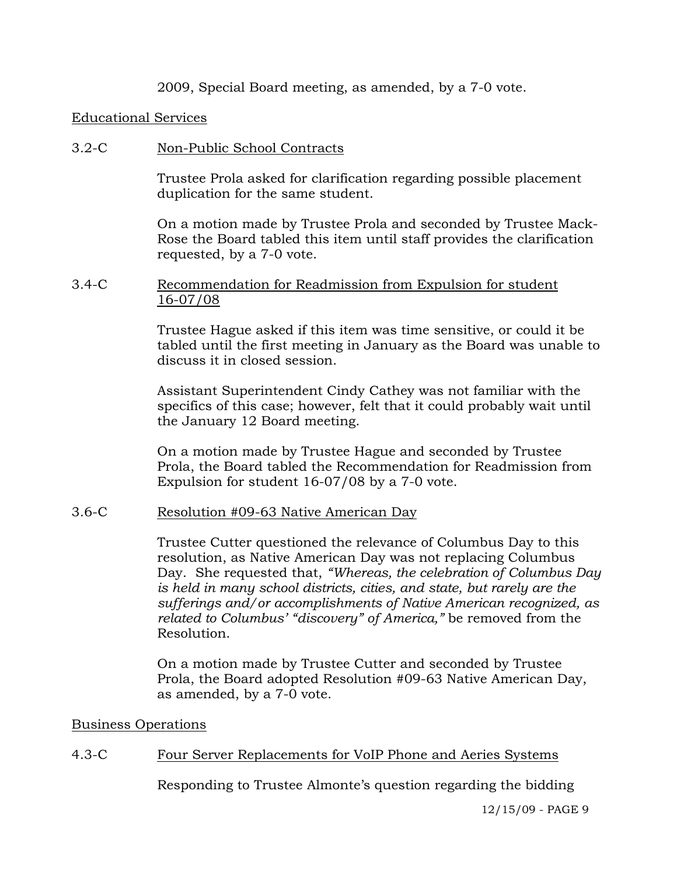2009, Special Board meeting, as amended, by a 7-0 vote.

#### Educational Services

#### 3.2-C Non-Public School Contracts

Trustee Prola asked for clarification regarding possible placement duplication for the same student.

On a motion made by Trustee Prola and seconded by Trustee Mack-Rose the Board tabled this item until staff provides the clarification requested, by a 7-0 vote.

#### 3.4-C Recommendation for Readmission from Expulsion for student 16-07/08

Trustee Hague asked if this item was time sensitive, or could it be tabled until the first meeting in January as the Board was unable to discuss it in closed session.

Assistant Superintendent Cindy Cathey was not familiar with the specifics of this case; however, felt that it could probably wait until the January 12 Board meeting.

On a motion made by Trustee Hague and seconded by Trustee Prola, the Board tabled the Recommendation for Readmission from Expulsion for student 16-07/08 by a 7-0 vote.

#### 3.6-C Resolution #09-63 Native American Day

Trustee Cutter questioned the relevance of Columbus Day to this resolution, as Native American Day was not replacing Columbus Day. She requested that, *"Whereas, the celebration of Columbus Day is held in many school districts, cities, and state, but rarely are the sufferings and/or accomplishments of Native American recognized, as related to Columbus' "discovery" of America,"* be removed from the Resolution.

On a motion made by Trustee Cutter and seconded by Trustee Prola, the Board adopted Resolution #09-63 Native American Day, as amended, by a 7-0 vote.

#### Business Operations

## 4.3-C Four Server Replacements for VoIP Phone and Aeries Systems

Responding to Trustee Almonte's question regarding the bidding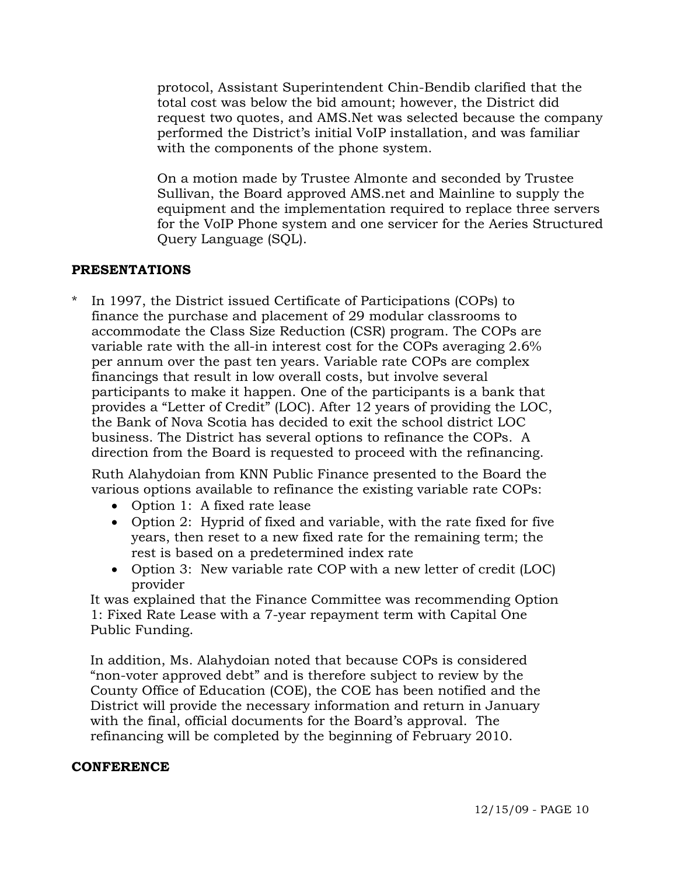protocol, Assistant Superintendent Chin-Bendib clarified that the total cost was below the bid amount; however, the District did request two quotes, and AMS.Net was selected because the company performed the District's initial VoIP installation, and was familiar with the components of the phone system.

On a motion made by Trustee Almonte and seconded by Trustee Sullivan, the Board approved AMS.net and Mainline to supply the equipment and the implementation required to replace three servers for the VoIP Phone system and one servicer for the Aeries Structured Query Language (SQL).

## **PRESENTATIONS**

In 1997, the District issued Certificate of Participations (COPs) to finance the purchase and placement of 29 modular classrooms to accommodate the Class Size Reduction (CSR) program. The COPs are variable rate with the all-in interest cost for the COPs averaging 2.6% per annum over the past ten years. Variable rate COPs are complex financings that result in low overall costs, but involve several participants to make it happen. One of the participants is a bank that provides a "Letter of Credit" (LOC). After 12 years of providing the LOC, the Bank of Nova Scotia has decided to exit the school district LOC business. The District has several options to refinance the COPs. A direction from the Board is requested to proceed with the refinancing.

 Ruth Alahydoian from KNN Public Finance presented to the Board the various options available to refinance the existing variable rate COPs:

- Option 1: A fixed rate lease
- Option 2: Hyprid of fixed and variable, with the rate fixed for five years, then reset to a new fixed rate for the remaining term; the rest is based on a predetermined index rate
- Option 3: New variable rate COP with a new letter of credit (LOC) provider

 It was explained that the Finance Committee was recommending Option 1: Fixed Rate Lease with a 7-year repayment term with Capital One Public Funding.

 In addition, Ms. Alahydoian noted that because COPs is considered "non-voter approved debt" and is therefore subject to review by the County Office of Education (COE), the COE has been notified and the District will provide the necessary information and return in January with the final, official documents for the Board's approval. The refinancing will be completed by the beginning of February 2010.

## **CONFERENCE**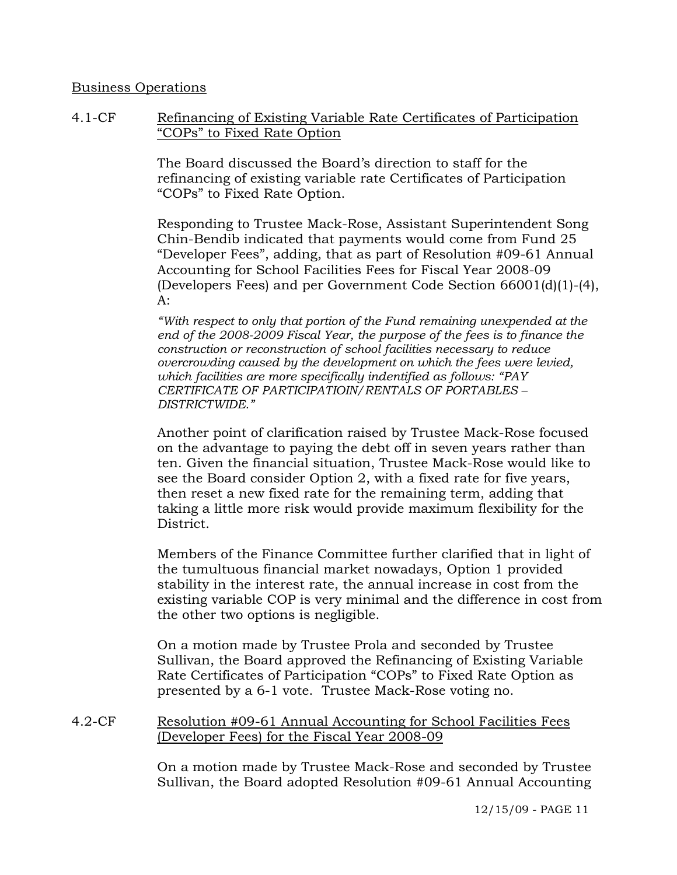#### Business Operations

4.1-CF Refinancing of Existing Variable Rate Certificates of Participation "COPs" to Fixed Rate Option

> The Board discussed the Board's direction to staff for the refinancing of existing variable rate Certificates of Participation "COPs" to Fixed Rate Option.

Responding to Trustee Mack-Rose, Assistant Superintendent Song Chin-Bendib indicated that payments would come from Fund 25 "Developer Fees", adding, that as part of Resolution #09-61 Annual Accounting for School Facilities Fees for Fiscal Year 2008-09 (Developers Fees) and per Government Code Section 66001(d)(1)-(4), A:

*"With respect to only that portion of the Fund remaining unexpended at the end of the 2008-2009 Fiscal Year, the purpose of the fees is to finance the construction or reconstruction of school facilities necessary to reduce overcrowding caused by the development on which the fees were levied, which facilities are more specifically indentified as follows: "PAY CERTIFICATE OF PARTICIPATIOIN/RENTALS OF PORTABLES – DISTRICTWIDE."*

Another point of clarification raised by Trustee Mack-Rose focused on the advantage to paying the debt off in seven years rather than ten. Given the financial situation, Trustee Mack-Rose would like to see the Board consider Option 2, with a fixed rate for five years, then reset a new fixed rate for the remaining term, adding that taking a little more risk would provide maximum flexibility for the District.

Members of the Finance Committee further clarified that in light of the tumultuous financial market nowadays, Option 1 provided stability in the interest rate, the annual increase in cost from the existing variable COP is very minimal and the difference in cost from the other two options is negligible.

On a motion made by Trustee Prola and seconded by Trustee Sullivan, the Board approved the Refinancing of Existing Variable Rate Certificates of Participation "COPs" to Fixed Rate Option as presented by a 6-1 vote. Trustee Mack-Rose voting no.

4.2-CF Resolution #09-61 Annual Accounting for School Facilities Fees (Developer Fees) for the Fiscal Year 2008-09

> On a motion made by Trustee Mack-Rose and seconded by Trustee Sullivan, the Board adopted Resolution #09-61 Annual Accounting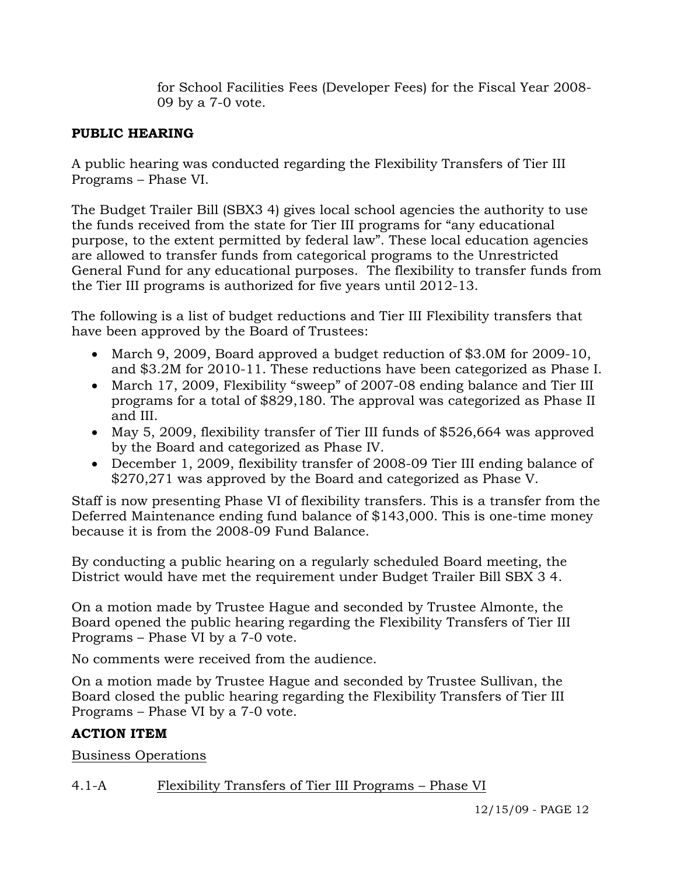for School Facilities Fees (Developer Fees) for the Fiscal Year 2008- 09 by a 7-0 vote.

# **PUBLIC HEARING**

A public hearing was conducted regarding the Flexibility Transfers of Tier III Programs – Phase VI.

The Budget Trailer Bill (SBX3 4) gives local school agencies the authority to use the funds received from the state for Tier III programs for "any educational purpose, to the extent permitted by federal law". These local education agencies are allowed to transfer funds from categorical programs to the Unrestricted General Fund for any educational purposes. The flexibility to transfer funds from the Tier III programs is authorized for five years until 2012-13.

The following is a list of budget reductions and Tier III Flexibility transfers that have been approved by the Board of Trustees:

- March 9, 2009, Board approved a budget reduction of \$3.0M for 2009-10, and \$3.2M for 2010-11. These reductions have been categorized as Phase I.
- March 17, 2009, Flexibility "sweep" of 2007-08 ending balance and Tier III programs for a total of \$829,180. The approval was categorized as Phase II and III.
- May 5, 2009, flexibility transfer of Tier III funds of \$526,664 was approved by the Board and categorized as Phase IV.
- December 1, 2009, flexibility transfer of 2008-09 Tier III ending balance of \$270,271 was approved by the Board and categorized as Phase V.

Staff is now presenting Phase VI of flexibility transfers*.* This is a transfer from the Deferred Maintenance ending fund balance of \$143,000. This is one-time money because it is from the 2008-09 Fund Balance.

By conducting a public hearing on a regularly scheduled Board meeting, the District would have met the requirement under Budget Trailer Bill SBX 3 4.

On a motion made by Trustee Hague and seconded by Trustee Almonte, the Board opened the public hearing regarding the Flexibility Transfers of Tier III Programs – Phase VI by a 7-0 vote.

No comments were received from the audience.

On a motion made by Trustee Hague and seconded by Trustee Sullivan, the Board closed the public hearing regarding the Flexibility Transfers of Tier III Programs – Phase VI by a 7-0 vote.

# **ACTION ITEM**

Business Operations

# 4.1-A Flexibility Transfers of Tier III Programs – Phase VI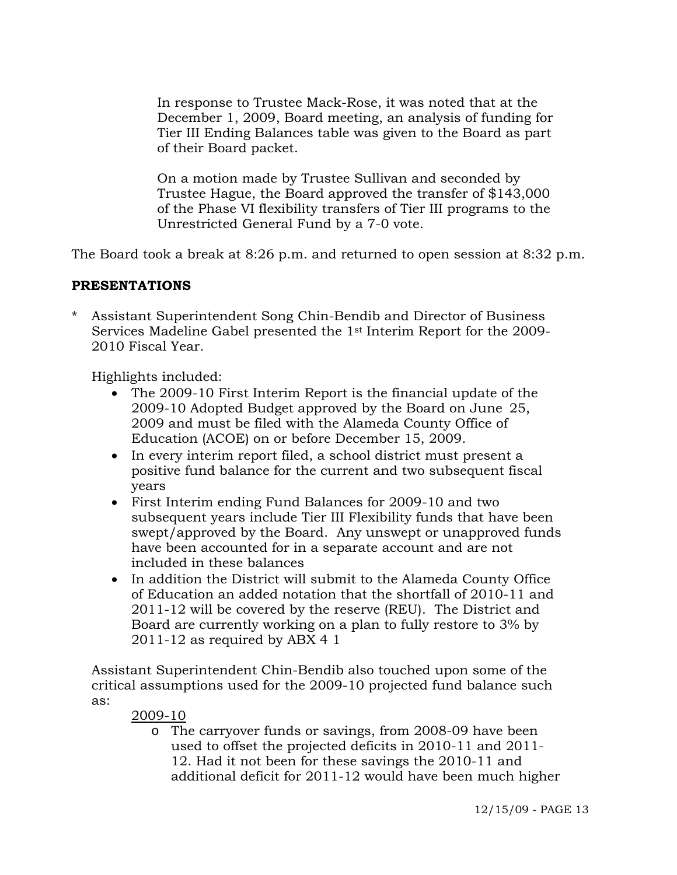In response to Trustee Mack-Rose, it was noted that at the December 1, 2009, Board meeting, an analysis of funding for Tier III Ending Balances table was given to the Board as part of their Board packet.

On a motion made by Trustee Sullivan and seconded by Trustee Hague, the Board approved the transfer of \$143,000 of the Phase VI flexibility transfers of Tier III programs to the Unrestricted General Fund by a 7-0 vote.

The Board took a break at 8:26 p.m. and returned to open session at 8:32 p.m.

# **PRESENTATIONS**

Assistant Superintendent Song Chin-Bendib and Director of Business Services Madeline Gabel presented the 1st Interim Report for the 2009- 2010 Fiscal Year.

Highlights included:

- The 2009-10 First Interim Report is the financial update of the 2009-10 Adopted Budget approved by the Board on June 25, 2009 and must be filed with the Alameda County Office of Education (ACOE) on or before December 15, 2009.
- In every interim report filed, a school district must present a positive fund balance for the current and two subsequent fiscal years
- First Interim ending Fund Balances for 2009-10 and two subsequent years include Tier III Flexibility funds that have been swept/approved by the Board. Any unswept or unapproved funds have been accounted for in a separate account and are not included in these balances
- In addition the District will submit to the Alameda County Office of Education an added notation that the shortfall of 2010-11 and 2011-12 will be covered by the reserve (REU). The District and Board are currently working on a plan to fully restore to 3% by 2011-12 as required by ABX 4 1

 Assistant Superintendent Chin-Bendib also touched upon some of the critical assumptions used for the 2009-10 projected fund balance such as:

2009-10

o The carryover funds or savings, from 2008-09 have been used to offset the projected deficits in 2010-11 and 2011- 12. Had it not been for these savings the 2010-11 and additional deficit for 2011-12 would have been much higher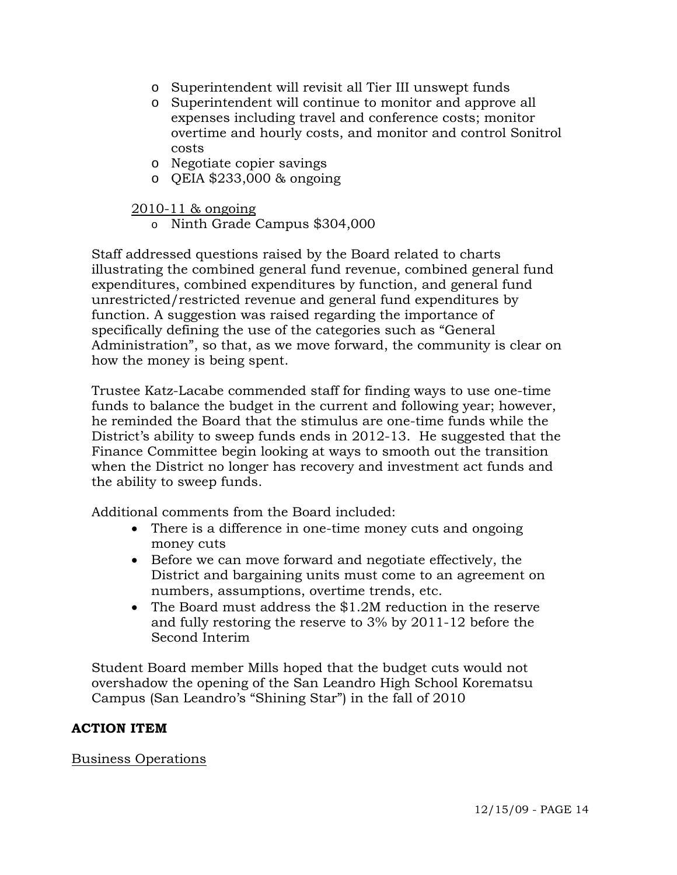- o Superintendent will revisit all Tier III unswept funds
- o Superintendent will continue to monitor and approve all expenses including travel and conference costs; monitor overtime and hourly costs, and monitor and control Sonitrol costs
- o Negotiate copier savings
- o QEIA \$233,000 & ongoing

### 2010-11 & ongoing

o Ninth Grade Campus \$304,000

 Staff addressed questions raised by the Board related to charts illustrating the combined general fund revenue, combined general fund expenditures, combined expenditures by function, and general fund unrestricted/restricted revenue and general fund expenditures by function. A suggestion was raised regarding the importance of specifically defining the use of the categories such as "General Administration", so that, as we move forward, the community is clear on how the money is being spent.

 Trustee Katz-Lacabe commended staff for finding ways to use one-time funds to balance the budget in the current and following year; however, he reminded the Board that the stimulus are one-time funds while the District's ability to sweep funds ends in 2012-13. He suggested that the Finance Committee begin looking at ways to smooth out the transition when the District no longer has recovery and investment act funds and the ability to sweep funds.

Additional comments from the Board included:

- There is a difference in one-time money cuts and ongoing money cuts
- Before we can move forward and negotiate effectively, the District and bargaining units must come to an agreement on numbers, assumptions, overtime trends, etc.
- The Board must address the \$1.2M reduction in the reserve and fully restoring the reserve to 3% by 2011-12 before the Second Interim

 Student Board member Mills hoped that the budget cuts would not overshadow the opening of the San Leandro High School Korematsu Campus (San Leandro's "Shining Star") in the fall of 2010

## **ACTION ITEM**

Business Operations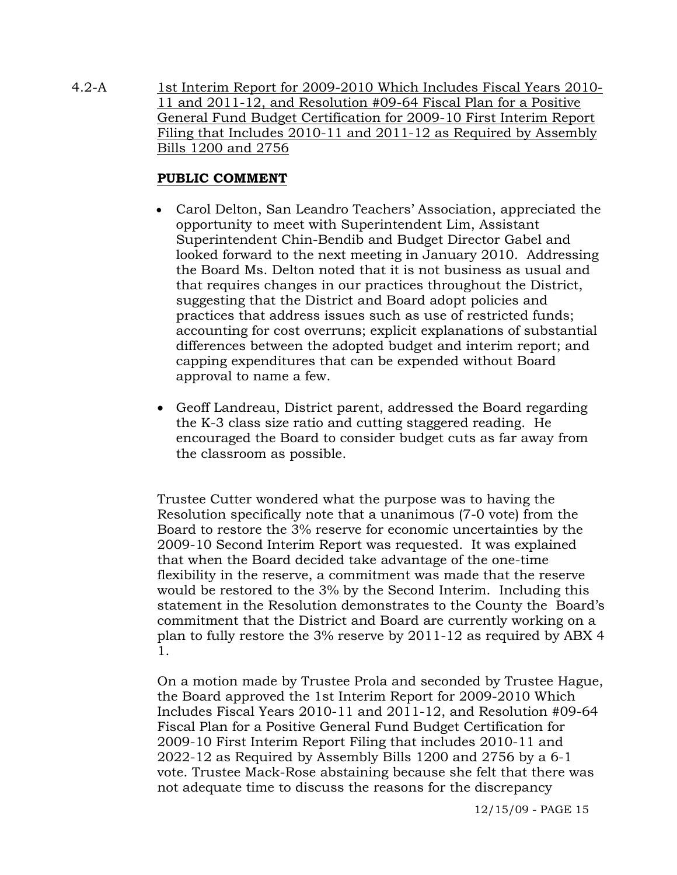4.2-A 1st Interim Report for 2009-2010 Which Includes Fiscal Years 2010- 11 and 2011-12, and Resolution #09-64 Fiscal Plan for a Positive General Fund Budget Certification for 2009-10 First Interim Report Filing that Includes 2010-11 and 2011-12 as Required by Assembly Bills 1200 and 2756

# **PUBLIC COMMENT**

- Carol Delton, San Leandro Teachers' Association, appreciated the opportunity to meet with Superintendent Lim, Assistant Superintendent Chin-Bendib and Budget Director Gabel and looked forward to the next meeting in January 2010. Addressing the Board Ms. Delton noted that it is not business as usual and that requires changes in our practices throughout the District, suggesting that the District and Board adopt policies and practices that address issues such as use of restricted funds; accounting for cost overruns; explicit explanations of substantial differences between the adopted budget and interim report; and capping expenditures that can be expended without Board approval to name a few.
- Geoff Landreau, District parent, addressed the Board regarding the K-3 class size ratio and cutting staggered reading. He encouraged the Board to consider budget cuts as far away from the classroom as possible.

Trustee Cutter wondered what the purpose was to having the Resolution specifically note that a unanimous (7-0 vote) from the Board to restore the 3% reserve for economic uncertainties by the 2009-10 Second Interim Report was requested. It was explained that when the Board decided take advantage of the one-time flexibility in the reserve, a commitment was made that the reserve would be restored to the 3% by the Second Interim. Including this statement in the Resolution demonstrates to the County the Board's commitment that the District and Board are currently working on a plan to fully restore the 3% reserve by 2011-12 as required by ABX 4 1.

On a motion made by Trustee Prola and seconded by Trustee Hague, the Board approved the 1st Interim Report for 2009-2010 Which Includes Fiscal Years 2010-11 and 2011-12, and Resolution #09-64 Fiscal Plan for a Positive General Fund Budget Certification for 2009-10 First Interim Report Filing that includes 2010-11 and 2022-12 as Required by Assembly Bills 1200 and 2756 by a 6-1 vote. Trustee Mack-Rose abstaining because she felt that there was not adequate time to discuss the reasons for the discrepancy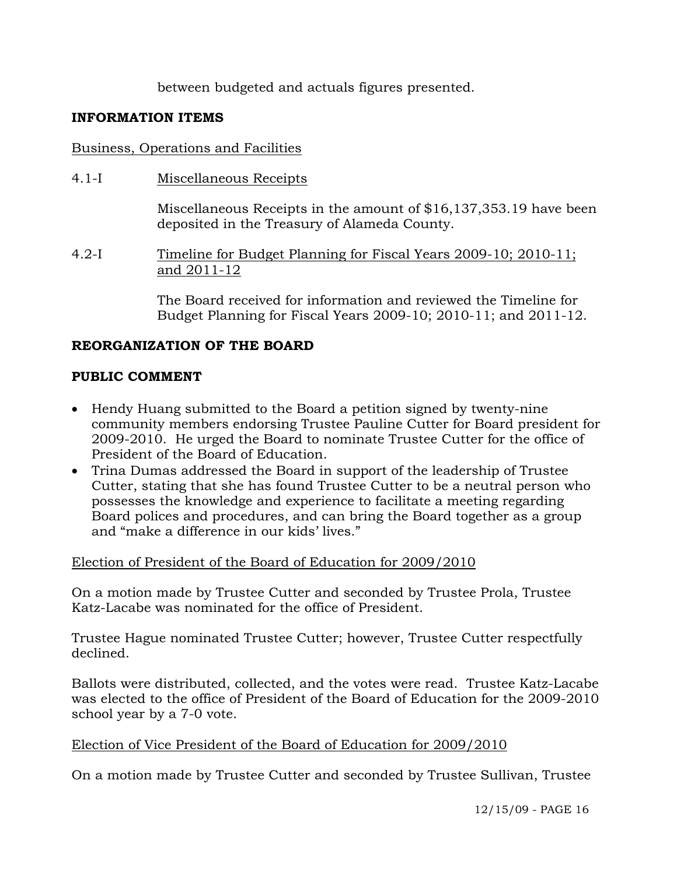between budgeted and actuals figures presented.

# **FORMATION ITEMS IN**

# Business, Operations and Facilities

4.1-I Miscellaneous Receipts

Miscellaneous Receipts in the amount of  $$16,137,353.19$  have been deposited in the Treasury of Alameda County.

Timeline for Budget Planning for Fiscal Years 2009-10; 2010-11;  $4.2-I$ and 2011-12

> The Board received for information and reviewed the Timeline for Budget Planning for Fiscal Years 2009-10; 2010-11; and 2011-12.

# **EORGANIZATION OF THE BOARD R**

# PUBLIC COMMENT

- Hendy Huang submitted to the Board a petition signed by twenty-nine community members endorsing Trustee Pauline Cutter for Board president for 2009-2010. He urged the Board to nominate Trustee Cutter for the office of President of the Board of Education.
- Trina Dumas addressed the Board in support of the leadership of Trustee Cutter, stating that she has found Trustee Cutter to be a neutral person who Board polices and procedures, and can bring the Board together as a group possesses the knowledge and experience to facilitate a meeting regarding and "make a difference in our kids' lives."

Election of President of the Board of Education for 2009/2010

On a motion made by Trustee Cutter and seconded by Trustee Prola, Trustee Katz-Lacabe was nominated for the office of President.

rustee Hague nominated Trustee Cutter; however, Trustee Cutter respectfully T declined.

Ballots were distributed, collected, and the votes were read. Trustee Katz-Lacabe was elected to the office of President of the Board of Education for the 2009-2010 school year by a 7-0 vote.

Election of Vice President of the Board of Education for 2009/2010

On a motion made by Trustee Cutter and seconded by Trustee Sullivan, Trustee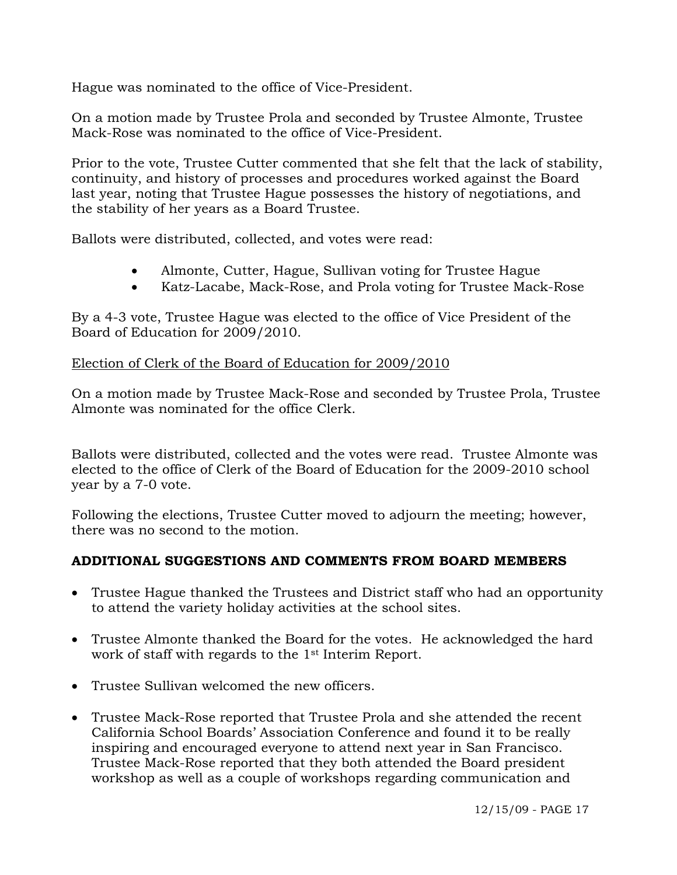Hague was nominated to the office of Vice-President.

On a motion made by Trustee Prola and seconded by Trustee Almonte, Trustee Mack-Rose was nominated to the office of Vice-President.

Prior to the vote, Trustee Cutter commented that she felt that the lack of stability, continuity, and history of processes and procedures worked against the Board last year, noting that Trustee Hague possesses the history of negotiations, and the stability of her years as a Board Trustee.

Ballots were distributed, collected, and votes were read:

- Almonte, Cutter, Hague, Sullivan voting for Trustee Hague
- Katz-Lacabe, Mack-Rose, and Prola voting for Trustee Mack-Rose

By a 4-3 vote, Trustee Hague was elected to the office of Vice President of the Board of Education for 2009/2010.

# Election of Clerk of the Board of Education for 2009/2010

On a motion made by Trustee Mack-Rose and seconded by Trustee Prola, Trustee Almonte was nominated for the office Clerk.

Ballots were distributed, collected and the votes were read. Trustee Almonte was elected to the office of Clerk of the Board of Education for the 2009-2010 school year by a 7-0 vote.

Following the elections, Trustee Cutter moved to adjourn the meeting; however, there was no second to the motion.

# **DDITIONAL SUGGESTIONS AND COMMENTS FROM BOARD MEMBERS A**

- Trustee Hague thanked the Trustees and District staff who had an opportunity to attend the variety holiday activities at the school sites.
- Trustee Almonte thanked the Board for the votes. He acknowledged the hard work of staff with regards to the 1st Interim Report.
- Trustee Sullivan welcomed the new officers. •
- Trustee Mack-Rose reported that Trustee Prola and she attended the recent California School Boards' Association Conference and found it to be really inspiring and encouraged everyone to attend next year in San Francisco. Trustee Mack-Rose reported that they both attended the Board president workshop as well as a couple of workshops regarding communication and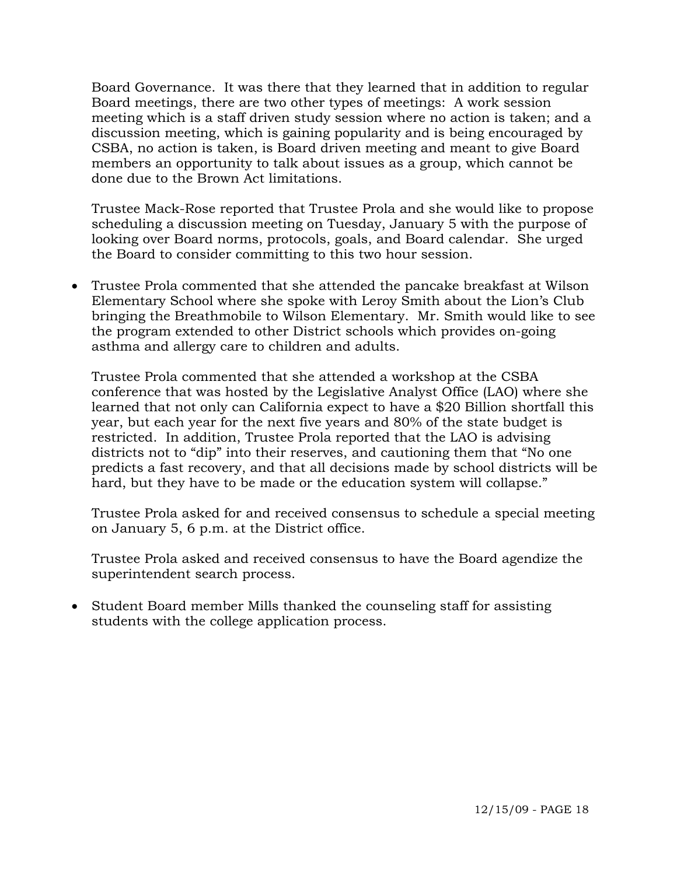Board Governance. It was there that they learned that in addition to regula r Board meetings, there are two other types of meetings: A work session meeting which is a staff driven study session where no action is taken; a nd a discussion meeting, which is gaining popularity and is being encouraged by CSBA, no action is taken, is Board driven meeting and meant to give Board members an opportunity to talk about issues as a group, which cannot be done due to the Brown Act limitations.

Trustee Mack-Rose reported that Trustee Prola and she would like to propose scheduling a discussion meeting on Tuesday, January 5 with the purpose of looking over Board norms, protocols, goals, and Board calendar. She urged the Board to consider committing to this two hour session.

Trustee Prola commented that she attended the pancake breakfast at Wilson • Elementary School where she spoke with Leroy Smith about the Lion's Club bringing the Breathmobile to Wilson Elementary. Mr. Smith would like to see the program extended to other District schools which provides on-going asthma and allergy care to children and adults.

Trustee Prola commented that she attended a workshop at the CSBA conference that was hosted by the Legislative Analyst Office (LAO) where she districts not to "dip" into their reserves, and cautioning them that "No one predicts a fast recovery, and that all decisions made by school districts will be learned that not only can California expect to have a \$20 Billion shortfall this year, but each year for the next five years and 80% of the state budget is restricted. In addition, Trustee Prola reported that the LAO is advising hard, but they have to be made or the education system will collapse."

Trustee Prola asked for and received consensus to schedule a special meeting on January 5, 6 p.m. at the District office.

Trustee Prola asked and received consensus to have the Board agendize the superintendent search process.

• Student Board member Mills thanked the counseling staff for assisting students with the college application process.